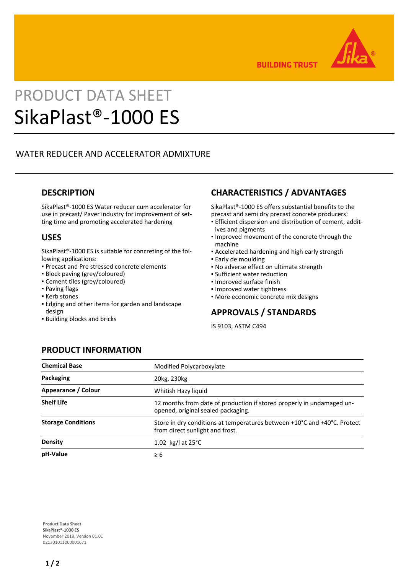

**BUILDING TRUST** 

# PRODUCT DATA SHEET SikaPlast®-1000 ES

# WATER REDUCER AND ACCELERATOR ADMIXTURE

#### **DESCRIPTION**

SikaPlast®-1000 ES Water reducer cum accelerator for use in precast/ Paver industry for improvement of setting time and promoting accelerated hardening

#### **USES**

SikaPlast®-1000 ES is suitable for concreting of the following applications:

- Precast and Pre stressed concrete elements
- Block paving (grey/coloured)
- Cement tiles (grey/coloured)
- Paving flags
- Kerb stones
- **Edging and other items for garden and landscape** design
- Building blocks and bricks

# **CHARACTERISTICS / ADVANTAGES**

SikaPlast®-1000 ES offers substantial benefits to the precast and semi dry precast concrete producers:

- **Efficient dispersion and distribution of cement, addit**ives and pigments
- **.** Improved movement of the concrete through the machine
- **EXEC** Accelerated hardening and high early strength
- Early de moulding
- No adverse effect on ultimate strength
- Sufficient water reduction
- Improved surface finish
- Improved water tightness
- More economic concrete mix designs

#### **APPROVALS / STANDARDS**

IS 9103, ASTM C494

# **PRODUCT INFORMATION**

| <b>Chemical Base</b>      | Modified Polycarboxylate                                                                                    |
|---------------------------|-------------------------------------------------------------------------------------------------------------|
| Packaging                 | 20kg, 230kg                                                                                                 |
| Appearance / Colour       | Whitish Hazy liquid                                                                                         |
| <b>Shelf Life</b>         | 12 months from date of production if stored properly in undamaged un-<br>opened, original sealed packaging. |
| <b>Storage Conditions</b> | Store in dry conditions at temperatures between +10°C and +40°C. Protect<br>from direct sunlight and frost. |
| <b>Density</b>            | 1.02 kg/l at $25^{\circ}$ C                                                                                 |
| pH-Value                  | $\geq 6$                                                                                                    |